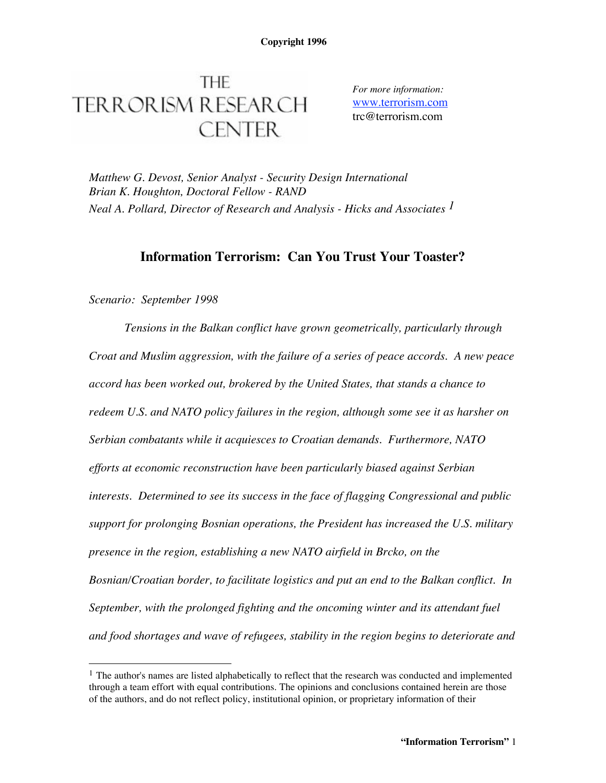# **THE TERRORISM RESEARCH CENTER**

*For more information:* www.terrorism.com trc@terrorism.com

*Matthew G. Devost, Senior Analyst - Security Design International Brian K. Houghton, Doctoral Fellow - RAND Neal A. Pollard, Director of Research and Analysis - Hicks and Associates 1*

# **Information Terrorism: Can You Trust Your Toaster?**

## *Scenario: September 1998*

*Tensions in the Balkan conflict have grown geometrically, particularly through Croat and Muslim aggression, with the failure of a series of peace accords. A new peace accord has been worked out, brokered by the United States, that stands a chance to redeem U.S. and NATO policy failures in the region, although some see it as harsher on Serbian combatants while it acquiesces to Croatian demands. Furthermore, NATO efforts at economic reconstruction have been particularly biased against Serbian interests. Determined to see its success in the face of flagging Congressional and public support for prolonging Bosnian operations, the President has increased the U.S. military presence in the region, establishing a new NATO airfield in Brcko, on the Bosnian/Croatian border, to facilitate logistics and put an end to the Balkan conflict. In September, with the prolonged fighting and the oncoming winter and its attendant fuel and food shortages and wave of refugees, stability in the region begins to deteriorate and*

 $<sup>1</sup>$  The author's names are listed alphabetically to reflect that the research was conducted and implemented</sup> through a team effort with equal contributions. The opinions and conclusions contained herein are those of the authors, and do not reflect policy, institutional opinion, or proprietary information of their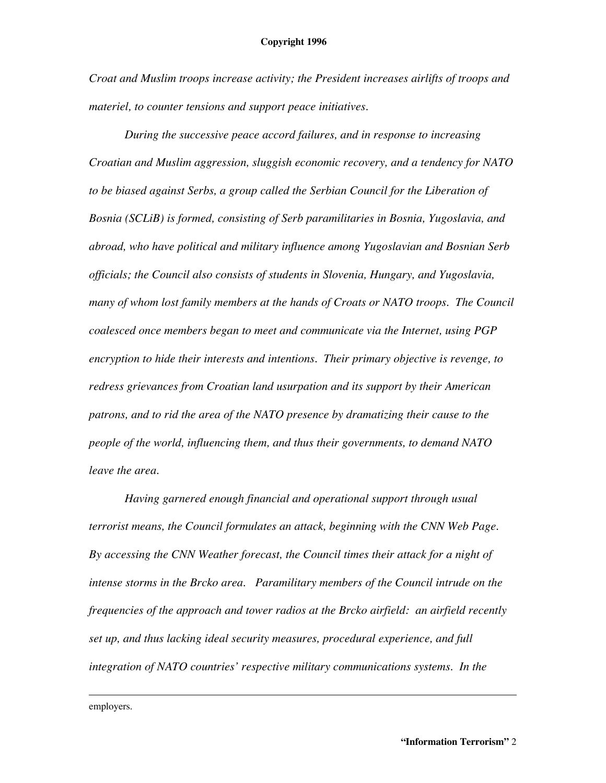#### **Copyright 1996**

*Croat and Muslim troops increase activity; the President increases airlifts of troops and materiel, to counter tensions and support peace initiatives.*

*During the successive peace accord failures, and in response to increasing Croatian and Muslim aggression, sluggish economic recovery, and a tendency for NATO to be biased against Serbs, a group called the Serbian Council for the Liberation of Bosnia (SCLiB) is formed, consisting of Serb paramilitaries in Bosnia, Yugoslavia, and abroad, who have political and military influence among Yugoslavian and Bosnian Serb officials; the Council also consists of students in Slovenia, Hungary, and Yugoslavia, many of whom lost family members at the hands of Croats or NATO troops. The Council coalesced once members began to meet and communicate via the Internet, using PGP encryption to hide their interests and intentions. Their primary objective is revenge, to redress grievances from Croatian land usurpation and its support by their American patrons, and to rid the area of the NATO presence by dramatizing their cause to the people of the world, influencing them, and thus their governments, to demand NATO leave the area.*

*Having garnered enough financial and operational support through usual terrorist means, the Council formulates an attack, beginning with the CNN Web Page. By accessing the CNN Weather forecast, the Council times their attack for a night of intense storms in the Brcko area. Paramilitary members of the Council intrude on the frequencies of the approach and tower radios at the Brcko airfield: an airfield recently set up, and thus lacking ideal security measures, procedural experience, and full integration of NATO countries' respective military communications systems. In the*

employers.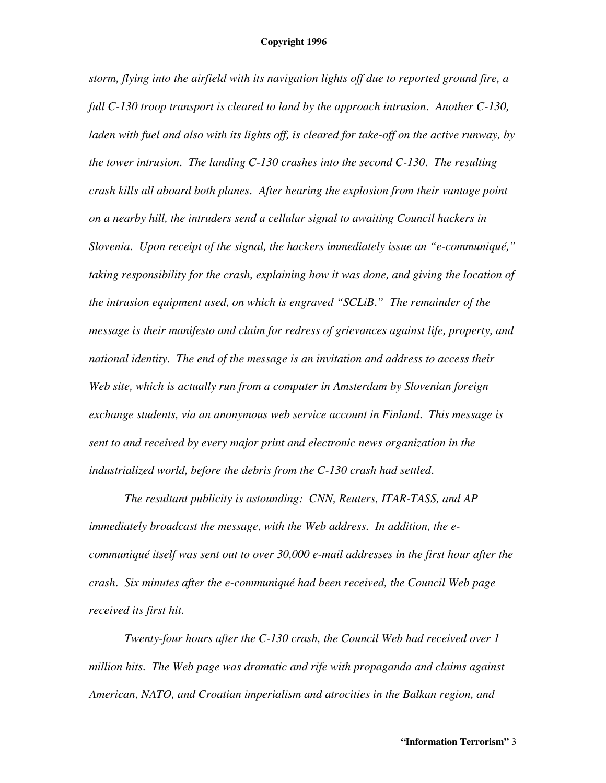*storm, flying into the airfield with its navigation lights off due to reported ground fire, a full C-130 troop transport is cleared to land by the approach intrusion. Another C-130, laden with fuel and also with its lights off, is cleared for take-off on the active runway, by the tower intrusion. The landing C-130 crashes into the second C-130. The resulting crash kills all aboard both planes. After hearing the explosion from their vantage point on a nearby hill, the intruders send a cellular signal to awaiting Council hackers in Slovenia. Upon receipt of the signal, the hackers immediately issue an "e-communiqué," taking responsibility for the crash, explaining how it was done, and giving the location of the intrusion equipment used, on which is engraved "SCLiB." The remainder of the message is their manifesto and claim for redress of grievances against life, property, and national identity. The end of the message is an invitation and address to access their Web site, which is actually run from a computer in Amsterdam by Slovenian foreign exchange students, via an anonymous web service account in Finland. This message is sent to and received by every major print and electronic news organization in the industrialized world, before the debris from the C-130 crash had settled.*

*The resultant publicity is astounding: CNN, Reuters, ITAR-TASS, and AP immediately broadcast the message, with the Web address. In addition, the ecommuniqué itself was sent out to over 30,000 e-mail addresses in the first hour after the crash. Six minutes after the e-communiqué had been received, the Council Web page received its first hit.*

*Twenty-four hours after the C-130 crash, the Council Web had received over 1 million hits. The Web page was dramatic and rife with propaganda and claims against American, NATO, and Croatian imperialism and atrocities in the Balkan region, and*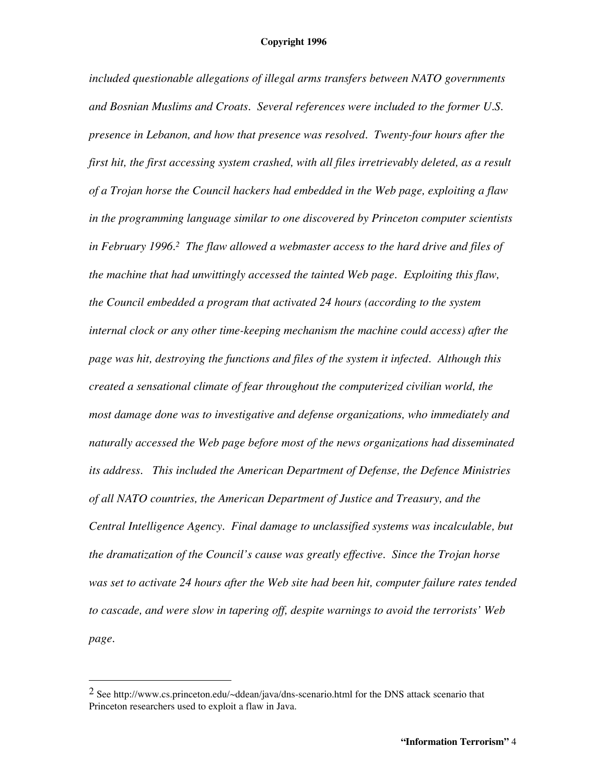*included questionable allegations of illegal arms transfers between NATO governments and Bosnian Muslims and Croats. Several references were included to the former U.S. presence in Lebanon, and how that presence was resolved. Twenty-four hours after the first hit, the first accessing system crashed, with all files irretrievably deleted, as a result of a Trojan horse the Council hackers had embedded in the Web page, exploiting a flaw in the programming language similar to one discovered by Princeton computer scientists in February 1996. <sup>2</sup> The flaw allowed a webmaster access to the hard drive and files of the machine that had unwittingly accessed the tainted Web page. Exploiting this flaw, the Council embedded a program that activated 24 hours (according to the system internal clock or any other time-keeping mechanism the machine could access) after the page was hit, destroying the functions and files of the system it infected. Although this created a sensational climate of fear throughout the computerized civilian world, the most damage done was to investigative and defense organizations, who immediately and naturally accessed the Web page before most of the news organizations had disseminated its address. This included the American Department of Defense, the Defence Ministries of all NATO countries, the American Department of Justice and Treasury, and the Central Intelligence Agency. Final damage to unclassified systems was incalculable, but the dramatization of the Council's cause was greatly effective. Since the Trojan horse was set to activate 24 hours after the Web site had been hit, computer failure rates tended to cascade, and were slow in tapering off, despite warnings to avoid the terrorists' Web page.*

<sup>&</sup>lt;sup>2</sup> See http://www.cs.princeton.edu/ $\sim$ ddean/java/dns-scenario.html for the DNS attack scenario that Princeton researchers used to exploit a flaw in Java.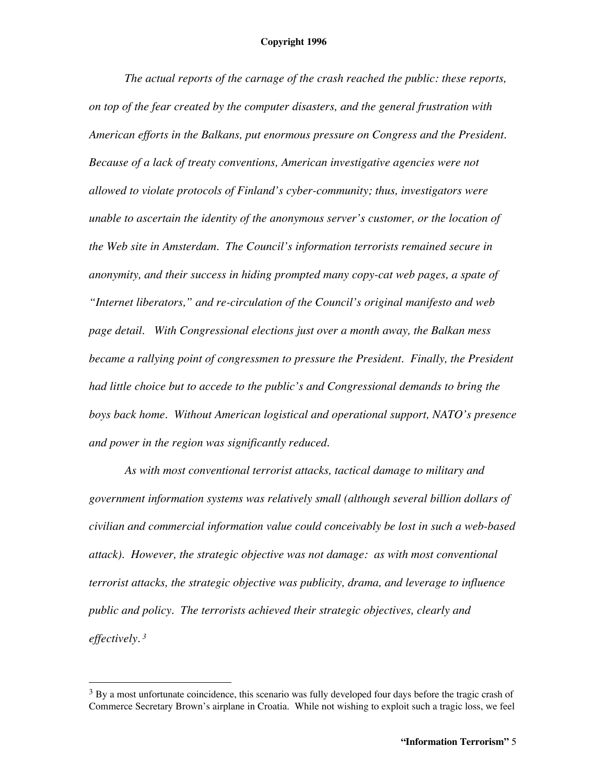*The actual reports of the carnage of the crash reached the public: these reports, on top of the fear created by the computer disasters, and the general frustration with American efforts in the Balkans, put enormous pressure on Congress and the President. Because of a lack of treaty conventions, American investigative agencies were not allowed to violate protocols of Finland's cyber-community; thus, investigators were unable to ascertain the identity of the anonymous server's customer, or the location of the Web site in Amsterdam. The Council's information terrorists remained secure in anonymity, and their success in hiding prompted many copy-cat web pages, a spate of "Internet liberators," and re-circulation of the Council's original manifesto and web page detail. With Congressional elections just over a month away, the Balkan mess became a rallying point of congressmen to pressure the President. Finally, the President had little choice but to accede to the public's and Congressional demands to bring the boys back home. Without American logistical and operational support, NATO's presence and power in the region was significantly reduced.*

*As with most conventional terrorist attacks, tactical damage to military and government information systems was relatively small (although several billion dollars of civilian and commercial information value could conceivably be lost in such a web-based attack). However, the strategic objective was not damage: as with most conventional terrorist attacks, the strategic objective was publicity, drama, and leverage to influence public and policy. The terrorists achieved their strategic objectives, clearly and effectively. <sup>3</sup>*

 $3$  By a most unfortunate coincidence, this scenario was fully developed four days before the tragic crash of Commerce Secretary Brown's airplane in Croatia. While not wishing to exploit such a tragic loss, we feel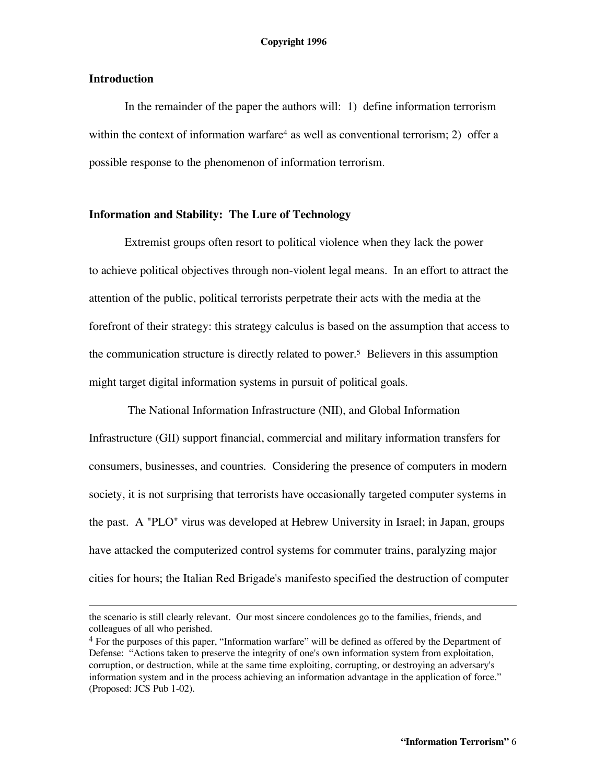## **Introduction**

In the remainder of the paper the authors will: 1) define information terrorism within the context of information warfare<sup>4</sup> as well as conventional terrorism; 2) offer a possible response to the phenomenon of information terrorism.

## **Information and Stability: The Lure of Technology**

Extremist groups often resort to political violence when they lack the power to achieve political objectives through non-violent legal means. In an effort to attract the attention of the public, political terrorists perpetrate their acts with the media at the forefront of their strategy: this strategy calculus is based on the assumption that access to the communication structure is directly related to power. <sup>5</sup> Believers in this assumption might target digital information systems in pursuit of political goals.

The National Information Infrastructure (NII), and Global Information Infrastructure (GII) support financial, commercial and military information transfers for consumers, businesses, and countries. Considering the presence of computers in modern society, it is not surprising that terrorists have occasionally targeted computer systems in the past. A "PLO" virus was developed at Hebrew University in Israel; in Japan, groups have attacked the computerized control systems for commuter trains, paralyzing major cities for hours; the Italian Red Brigade's manifesto specified the destruction of computer

the scenario is still clearly relevant. Our most sincere condolences go to the families, friends, and colleagues of all who perished.

<sup>4</sup> For the purposes of this paper, "Information warfare" will be defined as offered by the Department of Defense: "Actions taken to preserve the integrity of one's own information system from exploitation, corruption, or destruction, while at the same time exploiting, corrupting, or destroying an adversary's information system and in the process achieving an information advantage in the application of force." (Proposed: JCS Pub 1-02).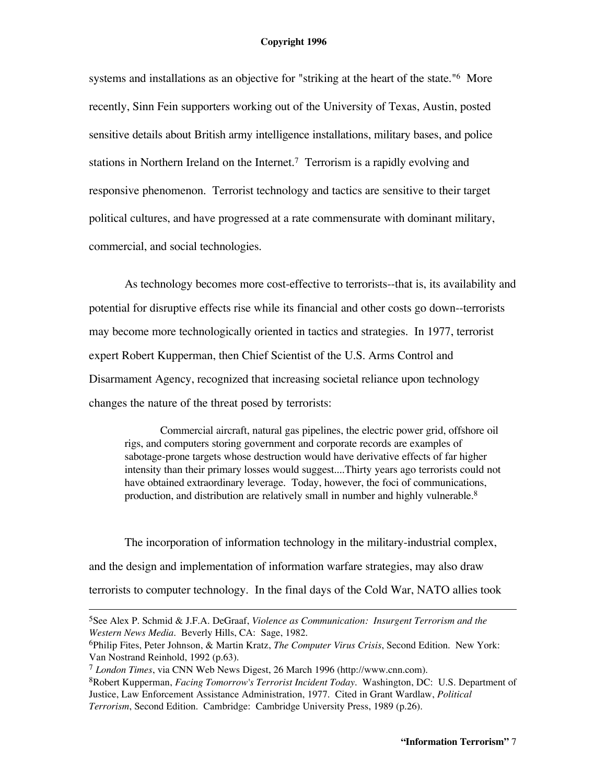systems and installations as an objective for "striking at the heart of the state."<sup>6</sup> More recently, Sinn Fein supporters working out of the University of Texas, Austin, posted sensitive details about British army intelligence installations, military bases, and police stations in Northern Ireland on the Internet. <sup>7</sup> Terrorism is a rapidly evolving and responsive phenomenon. Terrorist technology and tactics are sensitive to their target political cultures, and have progressed at a rate commensurate with dominant military, commercial, and social technologies.

As technology becomes more cost-effective to terrorists--that is, its availability and potential for disruptive effects rise while its financial and other costs go down--terrorists may become more technologically oriented in tactics and strategies. In 1977, terrorist expert Robert Kupperman, then Chief Scientist of the U.S. Arms Control and Disarmament Agency, recognized that increasing societal reliance upon technology changes the nature of the threat posed by terrorists:

Commercial aircraft, natural gas pipelines, the electric power grid, offshore oil rigs, and computers storing government and corporate records are examples of sabotage-prone targets whose destruction would have derivative effects of far higher intensity than their primary losses would suggest....Thirty years ago terrorists could not have obtained extraordinary leverage. Today, however, the foci of communications, production, and distribution are relatively small in number and highly vulnerable.<sup>8</sup>

The incorporation of information technology in the military-industrial complex, and the design and implementation of information warfare strategies, may also draw terrorists to computer technology. In the final days of the Cold War, NATO allies took

<sup>5</sup>See Alex P. Schmid & J.F.A. DeGraaf, *Violence as Communication: Insurgent Terrorism and the Western News Media*. Beverly Hills, CA: Sage, 1982.

<sup>6</sup>Philip Fites, Peter Johnson, & Martin Kratz, *The Computer Virus Crisis*, Second Edition. New York: Van Nostrand Reinhold, 1992 (p.63).

<sup>7</sup> *London Times*, via CNN Web News Digest, 26 March 1996 (http://www.cnn.com).

<sup>8</sup>Robert Kupperman, *Facing Tomorrow's Terrorist Incident Today*. Washington, DC: U.S. Department of Justice, Law Enforcement Assistance Administration, 1977. Cited in Grant Wardlaw, *Political Terrorism*, Second Edition. Cambridge: Cambridge University Press, 1989 (p.26).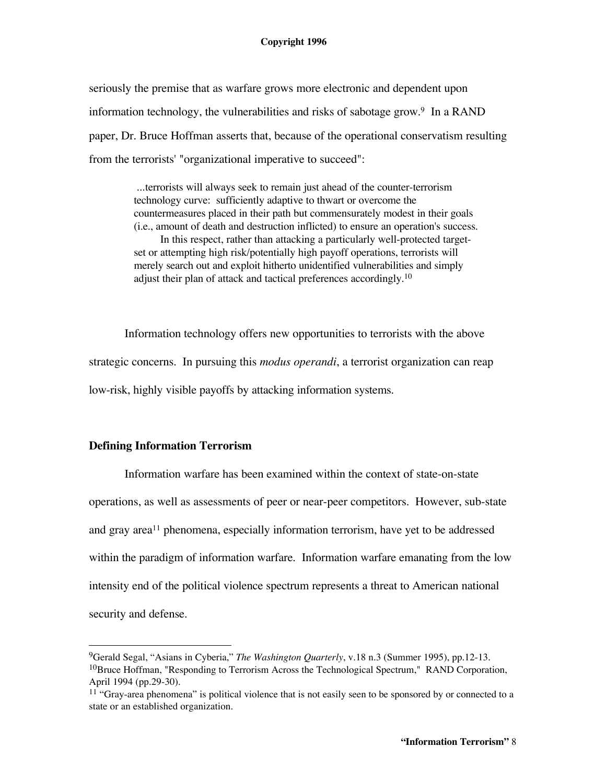seriously the premise that as warfare grows more electronic and dependent upon information technology, the vulnerabilities and risks of sabotage grow. <sup>9</sup> In a RAND paper, Dr. Bruce Hoffman asserts that, because of the operational conservatism resulting from the terrorists' "organizational imperative to succeed":

> ...terrorists will always seek to remain just ahead of the counter-terrorism technology curve: sufficiently adaptive to thwart or overcome the countermeasures placed in their path but commensurately modest in their goals (i.e., amount of death and destruction inflicted) to ensure an operation's success. In this respect, rather than attacking a particularly well-protected targetset or attempting high risk/potentially high payoff operations, terrorists will merely search out and exploit hitherto unidentified vulnerabilities and simply adjust their plan of attack and tactical preferences accordingly.<sup>10</sup>

Information technology offers new opportunities to terrorists with the above strategic concerns. In pursuing this *modus operandi*, a terrorist organization can reap low-risk, highly visible payoffs by attacking information systems.

# **Defining Information Terrorism**

Information warfare has been examined within the context of state-on-state operations, as well as assessments of peer or near-peer competitors. However, sub-state and gray area<sup>11</sup> phenomena, especially information terrorism, have yet to be addressed within the paradigm of information warfare. Information warfare emanating from the low intensity end of the political violence spectrum represents a threat to American national security and defense.

<sup>9</sup>Gerald Segal, "Asians in Cyberia," *The Washington Quarterly*, v.18 n.3 (Summer 1995), pp.12-13.  $10$ Bruce Hoffman, "Responding to Terrorism Across the Technological Spectrum," RAND Corporation, April 1994 (pp.29-30).

 $11$  "Gray-area phenomena" is political violence that is not easily seen to be sponsored by or connected to a state or an established organization.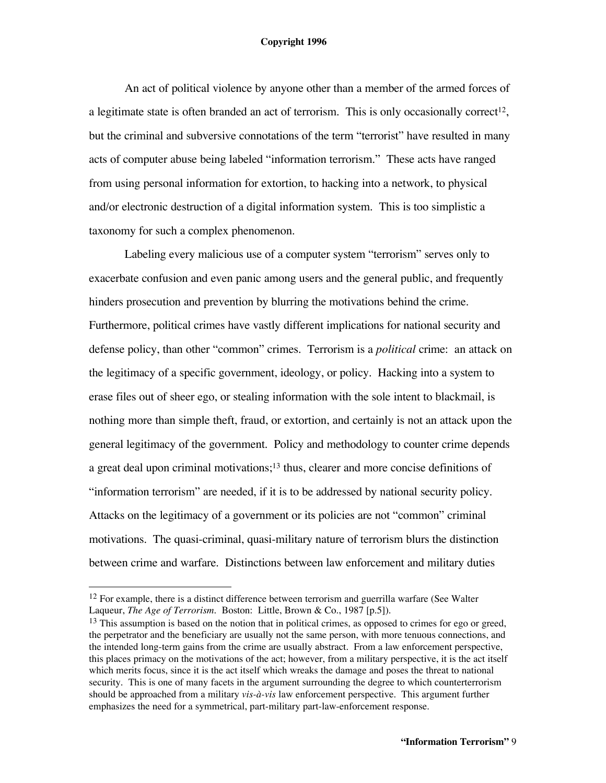An act of political violence by anyone other than a member of the armed forces of a legitimate state is often branded an act of terrorism. This is only occasionally correct<sup>12</sup>, but the criminal and subversive connotations of the term "terrorist" have resulted in many acts of computer abuse being labeled "information terrorism." These acts have ranged from using personal information for extortion, to hacking into a network, to physical and/or electronic destruction of a digital information system. This is too simplistic a taxonomy for such a complex phenomenon.

Labeling every malicious use of a computer system "terrorism" serves only to exacerbate confusion and even panic among users and the general public, and frequently hinders prosecution and prevention by blurring the motivations behind the crime. Furthermore, political crimes have vastly different implications for national security and defense policy, than other "common" crimes. Terrorism is a *political* crime: an attack on the legitimacy of a specific government, ideology, or policy. Hacking into a system to erase files out of sheer ego, or stealing information with the sole intent to blackmail, is nothing more than simple theft, fraud, or extortion, and certainly is not an attack upon the general legitimacy of the government. Policy and methodology to counter crime depends a great deal upon criminal motivations;<sup>13</sup> thus, clearer and more concise definitions of "information terrorism" are needed, if it is to be addressed by national security policy. Attacks on the legitimacy of a government or its policies are not "common" criminal motivations. The quasi-criminal, quasi-military nature of terrorism blurs the distinction between crime and warfare. Distinctions between law enforcement and military duties

<sup>&</sup>lt;sup>12</sup> For example, there is a distinct difference between terrorism and guerrilla warfare (See Walter Laqueur, *The Age of Terrorism.* Boston: Little, Brown & Co., 1987 [p.5]).

<sup>&</sup>lt;sup>13</sup> This assumption is based on the notion that in political crimes, as opposed to crimes for ego or greed, the perpetrator and the beneficiary are usually not the same person, with more tenuous connections, and the intended long-term gains from the crime are usually abstract. From a law enforcement perspective, this places primacy on the motivations of the act; however, from a military perspective, it is the act itself which merits focus, since it is the act itself which wreaks the damage and poses the threat to national security. This is one of many facets in the argument surrounding the degree to which counterterrorism should be approached from a military *vis-à-vis* law enforcement perspective. This argument further emphasizes the need for a symmetrical, part-military part-law-enforcement response.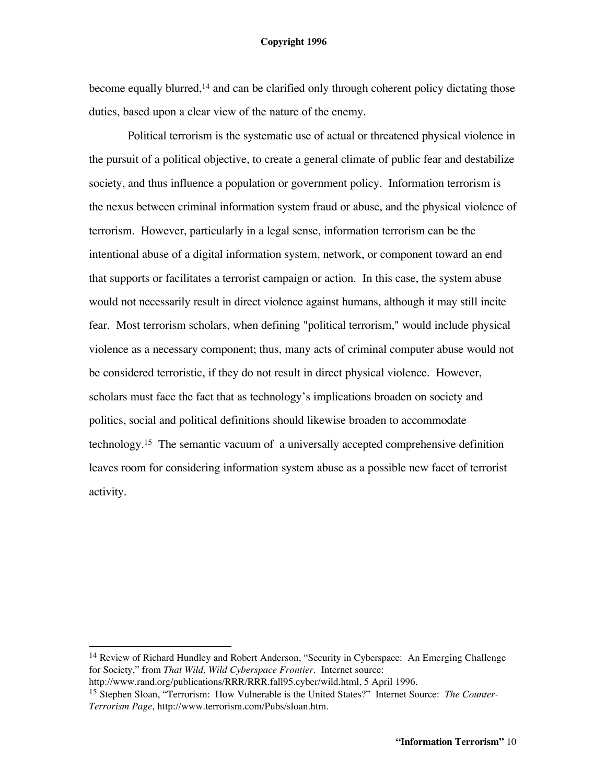#### **Copyright 1996**

become equally blurred, <sup>14</sup> and can be clarified only through coherent policy dictating those duties, based upon a clear view of the nature of the enemy.

Political terrorism is the systematic use of actual or threatened physical violence in the pursuit of a political objective, to create a general climate of public fear and destabilize society, and thus influence a population or government policy. Information terrorism is the nexus between criminal information system fraud or abuse, and the physical violence of terrorism. However, particularly in a legal sense, information terrorism can be the intentional abuse of a digital information system, network, or component toward an end that supports or facilitates a terrorist campaign or action. In this case, the system abuse would not necessarily result in direct violence against humans, although it may still incite fear. Most terrorism scholars, when defining "political terrorism," would include physical violence as a necessary component; thus, many acts of criminal computer abuse would not be considered terroristic, if they do not result in direct physical violence. However, scholars must face the fact that as technology's implications broaden on society and politics, social and political definitions should likewise broaden to accommodate technology. <sup>15</sup> The semantic vacuum of a universally accepted comprehensive definition leaves room for considering information system abuse as a possible new facet of terrorist activity.

<sup>&</sup>lt;sup>14</sup> Review of Richard Hundley and Robert Anderson, "Security in Cyberspace: An Emerging Challenge for Society," from *That Wild, Wild Cyberspace Frontier*. Internet source:

http://www.rand.org/publications/RRR/RRR.fall95.cyber/wild.html, 5 April 1996.

<sup>15</sup> Stephen Sloan, "Terrorism: How Vulnerable is the United States?" Internet Source: *The Counter-Terrorism Page*, http://www.terrorism.com/Pubs/sloan.htm.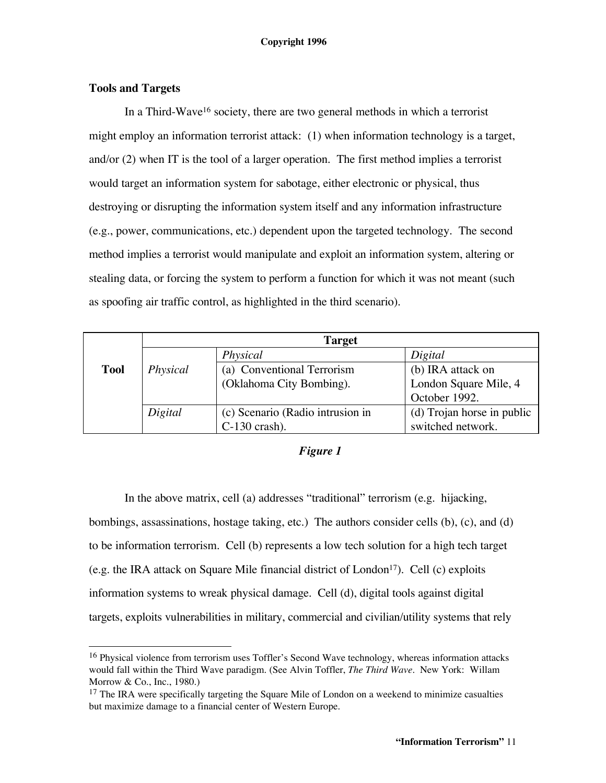# **Tools and Targets**

In a Third-Wave16 society, there are two general methods in which a terrorist might employ an information terrorist attack: (1) when information technology is a target, and/or (2) when IT is the tool of a larger operation. The first method implies a terrorist would target an information system for sabotage, either electronic or physical, thus destroying or disrupting the information system itself and any information infrastructure (e.g., power, communications, etc.) dependent upon the targeted technology. The second method implies a terrorist would manipulate and exploit an information system, altering or stealing data, or forcing the system to perform a function for which it was not meant (such as spoofing air traffic control, as highlighted in the third scenario).

|             | <b>Target</b> |                                  |                            |
|-------------|---------------|----------------------------------|----------------------------|
|             |               | Physical                         | Digital                    |
| <b>Tool</b> | Physical      | (a) Conventional Terrorism       | (b) IRA attack on          |
|             |               | (Oklahoma City Bombing).         | London Square Mile, 4      |
|             |               |                                  | October 1992.              |
|             | Digital       | (c) Scenario (Radio intrusion in | (d) Trojan horse in public |
|             |               | $C-130$ crash).                  | switched network.          |

# *Figure 1*

In the above matrix, cell (a) addresses "traditional" terrorism (e.g. hijacking, bombings, assassinations, hostage taking, etc.) The authors consider cells (b), (c), and (d) to be information terrorism. Cell (b) represents a low tech solution for a high tech target (e.g. the IRA attack on Square Mile financial district of London<sup>17</sup>). Cell (c) exploits information systems to wreak physical damage. Cell (d), digital tools against digital targets, exploits vulnerabilities in military, commercial and civilian/utility systems that rely

<sup>&</sup>lt;sup>16</sup> Physical violence from terrorism uses Toffler's Second Wave technology, whereas information attacks would fall within the Third Wave paradigm. (See Alvin Toffler, *The Third Wave*. New York: Willam Morrow & Co., Inc., 1980.)

 $17$  The IRA were specifically targeting the Square Mile of London on a weekend to minimize casualties but maximize damage to a financial center of Western Europe.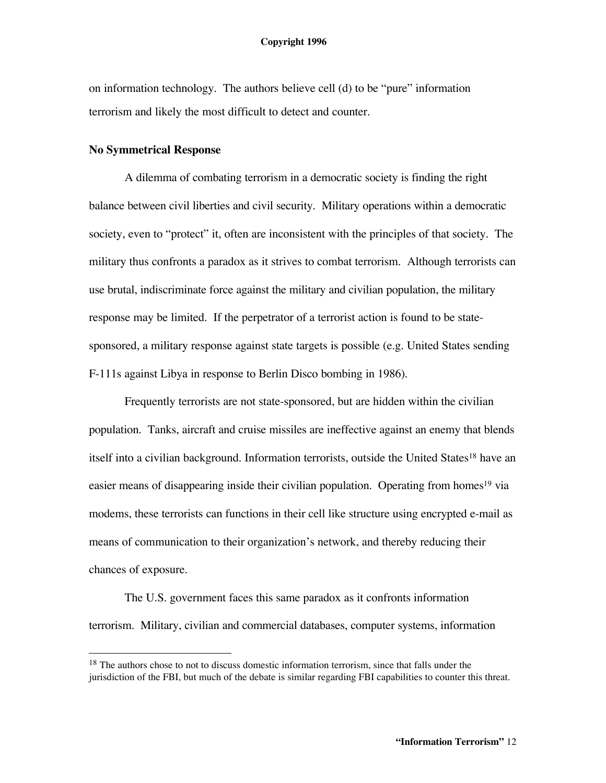on information technology. The authors believe cell (d) to be "pure" information terrorism and likely the most difficult to detect and counter.

#### **No Symmetrical Response**

A dilemma of combating terrorism in a democratic society is finding the right balance between civil liberties and civil security. Military operations within a democratic society, even to "protect" it, often are inconsistent with the principles of that society. The military thus confronts a paradox as it strives to combat terrorism. Although terrorists can use brutal, indiscriminate force against the military and civilian population, the military response may be limited. If the perpetrator of a terrorist action is found to be statesponsored, a military response against state targets is possible (e.g. United States sending F-111s against Libya in response to Berlin Disco bombing in 1986).

Frequently terrorists are not state-sponsored, but are hidden within the civilian population. Tanks, aircraft and cruise missiles are ineffective against an enemy that blends itself into a civilian background. Information terrorists, outside the United States<sup>18</sup> have an easier means of disappearing inside their civilian population. Operating from homes<sup>19</sup> via modems, these terrorists can functions in their cell like structure using encrypted e-mail as means of communication to their organization's network, and thereby reducing their chances of exposure.

The U.S. government faces this same paradox as it confronts information terrorism. Military, civilian and commercial databases, computer systems, information

<sup>&</sup>lt;sup>18</sup> The authors chose to not to discuss domestic information terrorism, since that falls under the jurisdiction of the FBI, but much of the debate is similar regarding FBI capabilities to counter this threat.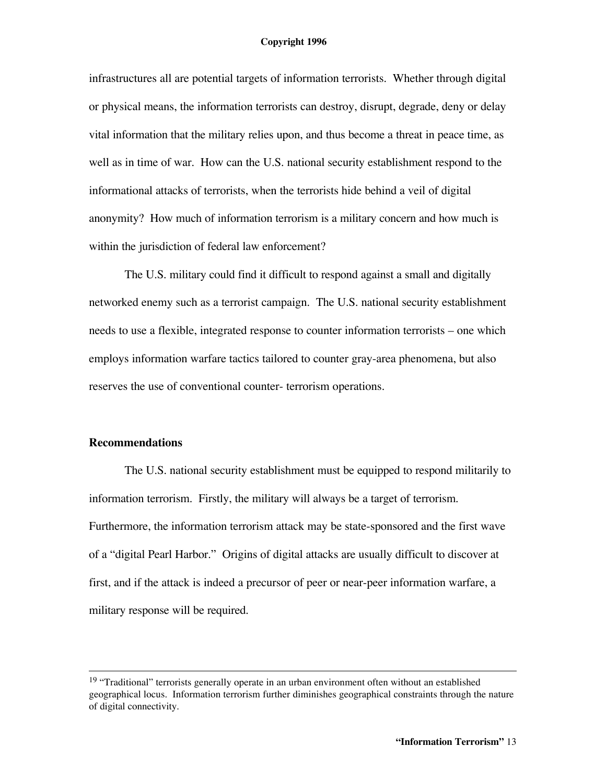infrastructures all are potential targets of information terrorists. Whether through digital or physical means, the information terrorists can destroy, disrupt, degrade, deny or delay vital information that the military relies upon, and thus become a threat in peace time, as well as in time of war. How can the U.S. national security establishment respond to the informational attacks of terrorists, when the terrorists hide behind a veil of digital anonymity? How much of information terrorism is a military concern and how much is within the jurisdiction of federal law enforcement?

The U.S. military could find it difficult to respond against a small and digitally networked enemy such as a terrorist campaign. The U.S. national security establishment needs to use a flexible, integrated response to counter information terrorists – one which employs information warfare tactics tailored to counter gray-area phenomena, but also reserves the use of conventional counter- terrorism operations.

#### **Recommendations**

The U.S. national security establishment must be equipped to respond militarily to information terrorism. Firstly, the military will always be a target of terrorism. Furthermore, the information terrorism attack may be state-sponsored and the first wave of a "digital Pearl Harbor." Origins of digital attacks are usually difficult to discover at first, and if the attack is indeed a precursor of peer or near-peer information warfare, a military response will be required.

<sup>&</sup>lt;sup>19</sup> "Traditional" terrorists generally operate in an urban environment often without an established geographical locus. Information terrorism further diminishes geographical constraints through the nature of digital connectivity.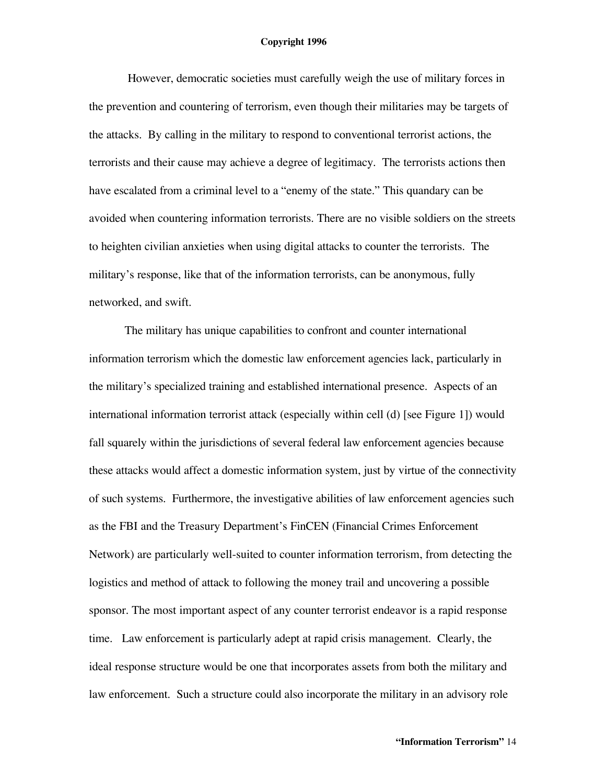However, democratic societies must carefully weigh the use of military forces in the prevention and countering of terrorism, even though their militaries may be targets of the attacks. By calling in the military to respond to conventional terrorist actions, the terrorists and their cause may achieve a degree of legitimacy. The terrorists actions then have escalated from a criminal level to a "enemy of the state." This quandary can be avoided when countering information terrorists. There are no visible soldiers on the streets to heighten civilian anxieties when using digital attacks to counter the terrorists. The military's response, like that of the information terrorists, can be anonymous, fully networked, and swift.

The military has unique capabilities to confront and counter international information terrorism which the domestic law enforcement agencies lack, particularly in the military's specialized training and established international presence. Aspects of an international information terrorist attack (especially within cell (d) [see Figure 1]) would fall squarely within the jurisdictions of several federal law enforcement agencies because these attacks would affect a domestic information system, just by virtue of the connectivity of such systems. Furthermore, the investigative abilities of law enforcement agencies such as the FBI and the Treasury Department's FinCEN (Financial Crimes Enforcement Network) are particularly well-suited to counter information terrorism, from detecting the logistics and method of attack to following the money trail and uncovering a possible sponsor. The most important aspect of any counter terrorist endeavor is a rapid response time. Law enforcement is particularly adept at rapid crisis management. Clearly, the ideal response structure would be one that incorporates assets from both the military and law enforcement. Such a structure could also incorporate the military in an advisory role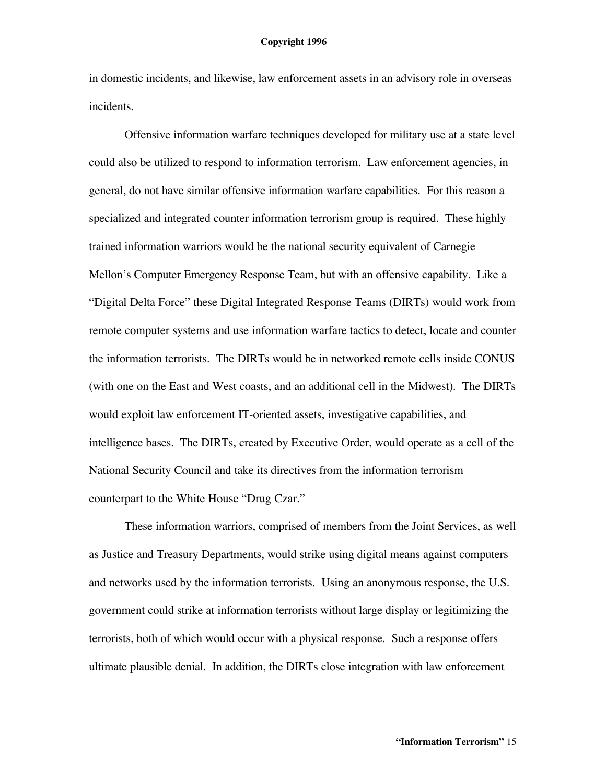in domestic incidents, and likewise, law enforcement assets in an advisory role in overseas incidents.

Offensive information warfare techniques developed for military use at a state level could also be utilized to respond to information terrorism. Law enforcement agencies, in general, do not have similar offensive information warfare capabilities. For this reason a specialized and integrated counter information terrorism group is required. These highly trained information warriors would be the national security equivalent of Carnegie Mellon's Computer Emergency Response Team, but with an offensive capability. Like a "Digital Delta Force" these Digital Integrated Response Teams (DIRTs) would work from remote computer systems and use information warfare tactics to detect, locate and counter the information terrorists. The DIRTs would be in networked remote cells inside CONUS (with one on the East and West coasts, and an additional cell in the Midwest). The DIRTs would exploit law enforcement IT-oriented assets, investigative capabilities, and intelligence bases. The DIRTs, created by Executive Order, would operate as a cell of the National Security Council and take its directives from the information terrorism counterpart to the White House "Drug Czar."

These information warriors, comprised of members from the Joint Services, as well as Justice and Treasury Departments, would strike using digital means against computers and networks used by the information terrorists. Using an anonymous response, the U.S. government could strike at information terrorists without large display or legitimizing the terrorists, both of which would occur with a physical response. Such a response offers ultimate plausible denial. In addition, the DIRTs close integration with law enforcement